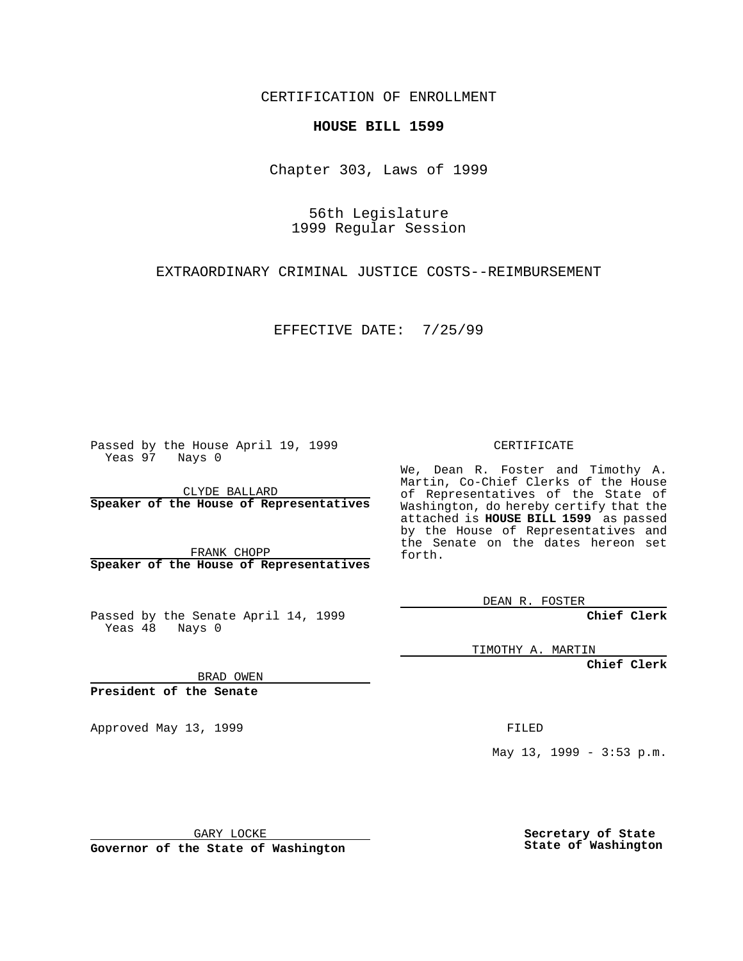CERTIFICATION OF ENROLLMENT

## **HOUSE BILL 1599**

Chapter 303, Laws of 1999

56th Legislature 1999 Regular Session

EXTRAORDINARY CRIMINAL JUSTICE COSTS--REIMBURSEMENT

EFFECTIVE DATE: 7/25/99

Passed by the House April 19, 1999 Yeas 97 Nays 0

CLYDE BALLARD **Speaker of the House of Representatives**

FRANK CHOPP **Speaker of the House of Representatives**

Passed by the Senate April 14, 1999 Yeas  $48$  Nays 0

CERTIFICATE

We, Dean R. Foster and Timothy A. Martin, Co-Chief Clerks of the House of Representatives of the State of Washington, do hereby certify that the attached is **HOUSE BILL 1599** as passed by the House of Representatives and the Senate on the dates hereon set forth.

DEAN R. FOSTER

**Chief Clerk**

TIMOTHY A. MARTIN

**Chief Clerk**

BRAD OWEN

**President of the Senate**

Approved May 13, 1999 **FILED** 

May 13, 1999 - 3:53 p.m.

GARY LOCKE

**Governor of the State of Washington**

**Secretary of State State of Washington**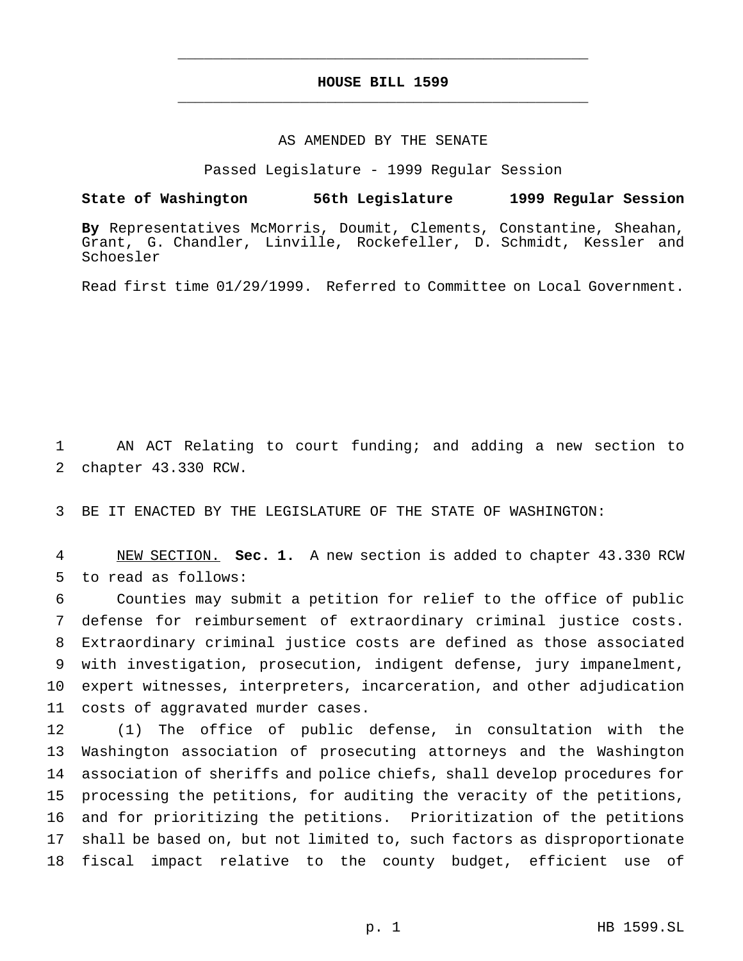## **HOUSE BILL 1599** \_\_\_\_\_\_\_\_\_\_\_\_\_\_\_\_\_\_\_\_\_\_\_\_\_\_\_\_\_\_\_\_\_\_\_\_\_\_\_\_\_\_\_\_\_\_\_

\_\_\_\_\_\_\_\_\_\_\_\_\_\_\_\_\_\_\_\_\_\_\_\_\_\_\_\_\_\_\_\_\_\_\_\_\_\_\_\_\_\_\_\_\_\_\_

## AS AMENDED BY THE SENATE

Passed Legislature - 1999 Regular Session

## **State of Washington 56th Legislature 1999 Regular Session**

**By** Representatives McMorris, Doumit, Clements, Constantine, Sheahan, Grant, G. Chandler, Linville, Rockefeller, D. Schmidt, Kessler and Schoesler

Read first time 01/29/1999. Referred to Committee on Local Government.

 AN ACT Relating to court funding; and adding a new section to chapter 43.330 RCW.

BE IT ENACTED BY THE LEGISLATURE OF THE STATE OF WASHINGTON:

 NEW SECTION. **Sec. 1.** A new section is added to chapter 43.330 RCW to read as follows:

 Counties may submit a petition for relief to the office of public defense for reimbursement of extraordinary criminal justice costs. Extraordinary criminal justice costs are defined as those associated with investigation, prosecution, indigent defense, jury impanelment, expert witnesses, interpreters, incarceration, and other adjudication costs of aggravated murder cases.

 (1) The office of public defense, in consultation with the Washington association of prosecuting attorneys and the Washington association of sheriffs and police chiefs, shall develop procedures for processing the petitions, for auditing the veracity of the petitions, and for prioritizing the petitions. Prioritization of the petitions shall be based on, but not limited to, such factors as disproportionate fiscal impact relative to the county budget, efficient use of